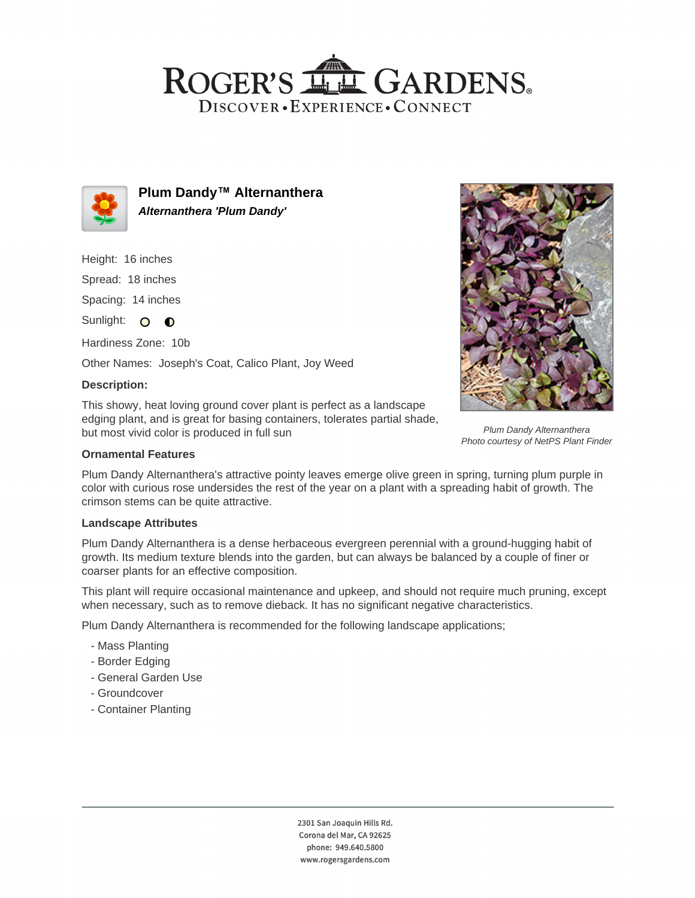## ROGER'S LL GARDENS. DISCOVER · EXPERIENCE · CONNECT



**Plum Dandy™ Alternanthera Alternanthera 'Plum Dandy'**

Height: 16 inches

Spread: 18 inches

Spacing: 14 inches

Sunlight: O O

Hardiness Zone: 10b

Other Names: Joseph's Coat, Calico Plant, Joy Weed

### **Description:**

This showy, heat loving ground cover plant is perfect as a landscape edging plant, and is great for basing containers, tolerates partial shade, but most vivid color is produced in full sun

#### **Ornamental Features**

Plum Dandy Alternanthera's attractive pointy leaves emerge olive green in spring, turning plum purple in color with curious rose undersides the rest of the year on a plant with a spreading habit of growth. The crimson stems can be quite attractive.

#### **Landscape Attributes**

Plum Dandy Alternanthera is a dense herbaceous evergreen perennial with a ground-hugging habit of growth. Its medium texture blends into the garden, but can always be balanced by a couple of finer or coarser plants for an effective composition.

This plant will require occasional maintenance and upkeep, and should not require much pruning, except when necessary, such as to remove dieback. It has no significant negative characteristics.

Plum Dandy Alternanthera is recommended for the following landscape applications;

- Mass Planting
- Border Edging
- General Garden Use
- Groundcover
- Container Planting



Plum Dandy Alternanthera Photo courtesy of NetPS Plant Finder